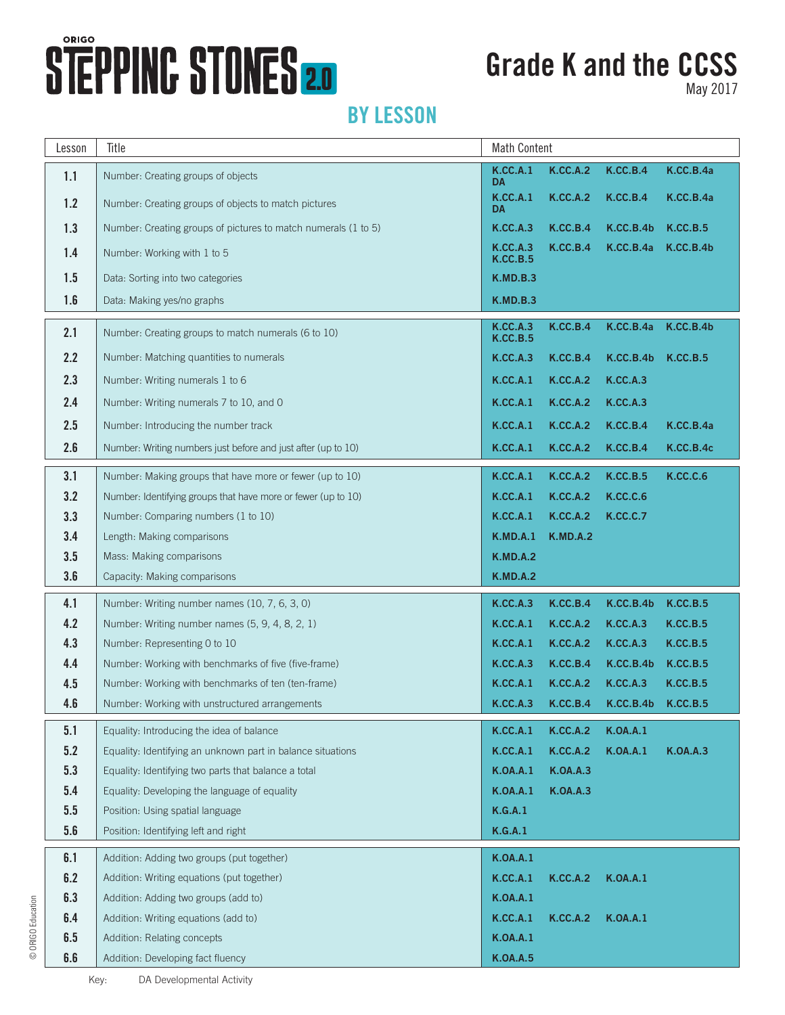## **STEPPINC STONES 2.0**

## **Grade K and the CCSS**

May 2017

### **BY LESSON**

| Lesson | Title                                                          | <b>Math Content</b>                |                 |                 |                  |  |  |
|--------|----------------------------------------------------------------|------------------------------------|-----------------|-----------------|------------------|--|--|
| 1.1    | Number: Creating groups of objects                             | <b>K.CC.A.1</b><br>DA              | <b>K.CC.A.2</b> | <b>K.CC.B.4</b> | K.CC.B.4a        |  |  |
| 1.2    | Number: Creating groups of objects to match pictures           | <b>K.CC.A.1</b><br>DA              | <b>K.CC.A.2</b> | <b>K.CC.B.4</b> | K.CC.B.4a        |  |  |
| 1.3    | Number: Creating groups of pictures to match numerals (1 to 5) | <b>K.CC.A.3</b>                    | <b>K.CC.B.4</b> | K.C.C.B.4b      | <b>K.CC.B.5</b>  |  |  |
| 1.4    | Number: Working with 1 to 5                                    | <b>K.CC.A.3</b><br>K.CC.B.5        | <b>K.CC.B.4</b> | K.CC.B.4a       | <b>K.CC.B.4b</b> |  |  |
| 1.5    | Data: Sorting into two categories                              | <b>K.MD.B.3</b>                    |                 |                 |                  |  |  |
| 1.6    | Data: Making yes/no graphs                                     | <b>K.MD.B.3</b>                    |                 |                 |                  |  |  |
| 2.1    | Number: Creating groups to match numerals (6 to 10)            | <b>K.CC.A.3</b><br><b>K.CC.B.5</b> | <b>K.CC.B.4</b> | K.CC.B.4a       | K.CC.B.4b        |  |  |
| 2.2    | Number: Matching quantities to numerals                        | <b>K.CC.A.3</b>                    | <b>K.CC.B.4</b> | K.C.C.B.4b      | K.CC.B.5         |  |  |
| 2.3    | Number: Writing numerals 1 to 6                                | <b>K.CC.A.1</b>                    | <b>K.CC.A.2</b> | <b>K.CC.A.3</b> |                  |  |  |
| 2.4    | Number: Writing numerals 7 to 10, and 0                        | <b>K.CC.A.1</b>                    | <b>K.CC.A.2</b> | <b>K.CC.A.3</b> |                  |  |  |
| 2.5    | Number: Introducing the number track                           | <b>K.CC.A.1</b>                    | <b>K.CC.A.2</b> | <b>K.CC.B.4</b> | K.CC.B.4a        |  |  |
| 2.6    | Number: Writing numbers just before and just after (up to 10)  | <b>K.CC.A.1</b>                    | <b>K.CC.A.2</b> | <b>K.CC.B.4</b> | K.CC.B.4c        |  |  |
| 3.1    | Number: Making groups that have more or fewer (up to 10)       | <b>K.CC.A.1</b>                    | <b>K.CC.A.2</b> | <b>K.CC.B.5</b> | <b>K.CC.C.6</b>  |  |  |
| 3.2    | Number: Identifying groups that have more or fewer (up to 10)  | <b>K.CC.A.1</b>                    | <b>K.CC.A.2</b> | <b>K.CC.C.6</b> |                  |  |  |
| 3.3    | Number: Comparing numbers (1 to 10)                            | <b>K.CC.A.1</b>                    | <b>K.CC.A.2</b> | <b>K.CC.C.7</b> |                  |  |  |
| 3.4    | Length: Making comparisons                                     | <b>K.MD.A.1</b>                    | <b>K.MD.A.2</b> |                 |                  |  |  |
| 3.5    | Mass: Making comparisons                                       | <b>K.MD.A.2</b>                    |                 |                 |                  |  |  |
| 3.6    | Capacity: Making comparisons                                   | <b>K.MD.A.2</b>                    |                 |                 |                  |  |  |
| 4.1    | Number: Writing number names (10, 7, 6, 3, 0)                  | <b>K.CC.A.3</b>                    | <b>K.CC.B.4</b> | K.CC.B.4b       | <b>K.CC.B.5</b>  |  |  |
| 4.2    | Number: Writing number names (5, 9, 4, 8, 2, 1)                | <b>K.CC.A.1</b>                    | <b>K.CC.A.2</b> | <b>K.CC.A.3</b> | <b>K.CC.B.5</b>  |  |  |
| 4.3    | Number: Representing 0 to 10                                   | <b>K.CC.A.1</b>                    | <b>K.CC.A.2</b> | <b>K.CC.A.3</b> | <b>K.CC.B.5</b>  |  |  |
| 4.4    | Number: Working with benchmarks of five (five-frame)           | <b>K.CC.A.3</b>                    | <b>K.CC.B.4</b> | K.CC.B.4b       | <b>K.CC.B.5</b>  |  |  |
| 4.5    | Number: Working with benchmarks of ten (ten-frame)             | <b>K.CC.A.1</b>                    | <b>K.CC.A.2</b> | <b>K.CC.A.3</b> | <b>K.CC.B.5</b>  |  |  |
| 4.6    | Number: Working with unstructured arrangements                 | <b>K.CC.A.3</b>                    | <b>K.CC.B.4</b> | K.CC.B.4b       | <b>K.CC.B.5</b>  |  |  |
| 5.1    | Equality: Introducing the idea of balance                      | <b>K.CC.A.1</b>                    | <b>K.CC.A.2</b> | <b>K.OA.A.1</b> |                  |  |  |
| 5.2    | Equality: Identifying an unknown part in balance situations    | <b>K.CC.A.1</b>                    | <b>K.CC.A.2</b> | <b>K.OA.A.1</b> | <b>K.OA.A.3</b>  |  |  |
| 5.3    | Equality: Identifying two parts that balance a total           | <b>K.OA.A.1</b>                    | <b>K.OA.A.3</b> |                 |                  |  |  |
| 5.4    | Equality: Developing the language of equality                  | <b>K.OA.A.1</b>                    | <b>K.OA.A.3</b> |                 |                  |  |  |
| 5.5    | Position: Using spatial language                               | <b>K.G.A.1</b>                     |                 |                 |                  |  |  |
| 5.6    | Position: Identifying left and right                           | K.G.A.1                            |                 |                 |                  |  |  |
| 6.1    | Addition: Adding two groups (put together)                     | <b>K.OA.A.1</b>                    |                 |                 |                  |  |  |
| 6.2    | Addition: Writing equations (put together)                     | <b>K.CC.A.1</b>                    | <b>K.CC.A.2</b> | <b>K.OA.A.1</b> |                  |  |  |
| 6.3    | Addition: Adding two groups (add to)                           | <b>K.OA.A.1</b>                    |                 |                 |                  |  |  |
| 6.4    | Addition: Writing equations (add to)                           | <b>K.CC.A.1</b>                    | <b>K.CC.A.2</b> | <b>K.OA.A.1</b> |                  |  |  |
| 6.5    | Addition: Relating concepts                                    | <b>K.OA.A.1</b>                    |                 |                 |                  |  |  |
| 6.6    | Addition: Developing fact fluency                              | <b>K.OA.A.5</b>                    |                 |                 |                  |  |  |

© ORIGO Education © ORIGO Education

Key: DA Developmental Activity